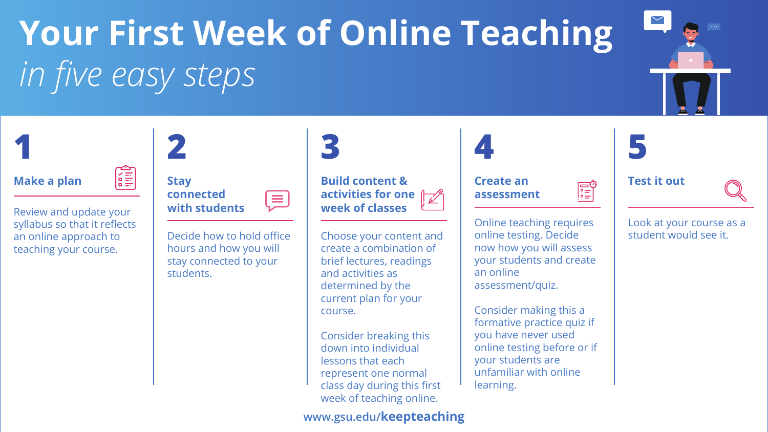

# **Your First Week of Online Teaching**  *in five easy steps*

### **Make a plan**  $\begin{bmatrix} \overline{x} \\ \overline{y} \end{bmatrix}$



| <b>Stay</b>   |
|---------------|
| connected     |
| with students |



#### **Create an assessment**

#### **Test it out**



Review and update your syllabus so that it reflects an online approach to teaching your course.

Decide how to hold office hours and how you will stay connected to your students.

Choose your content and create a combination of brief lectures, readings and activities as determined by the current plan for your course.

Consider breaking this down into individual lessons that each represent one normal class day during this first week of teaching online.

Online teaching requires online testing. Decide now how you will assess your students and create an online assessment/quiz.

Consider making this a formative practice quiz if you have never used online testing before or if your students are unfamiliar with online learning.



#### Look at your course as a student would see it.